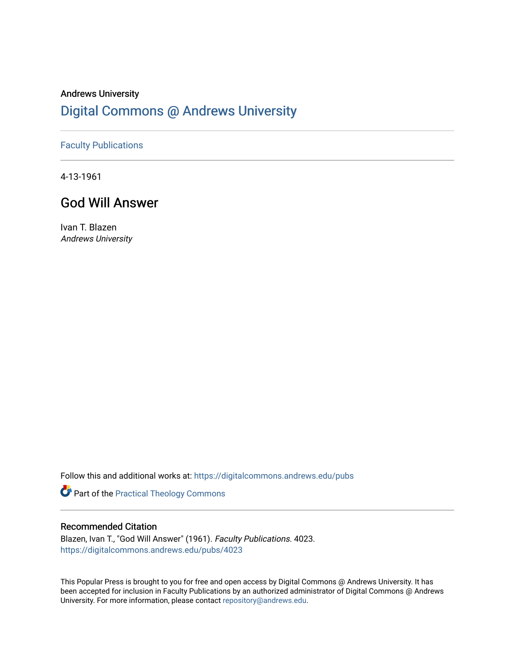# Andrews University [Digital Commons @ Andrews University](https://digitalcommons.andrews.edu/)

## [Faculty Publications](https://digitalcommons.andrews.edu/pubs)

4-13-1961

## God Will Answer

Ivan T. Blazen Andrews University

Follow this and additional works at: [https://digitalcommons.andrews.edu/pubs](https://digitalcommons.andrews.edu/pubs?utm_source=digitalcommons.andrews.edu%2Fpubs%2F4023&utm_medium=PDF&utm_campaign=PDFCoverPages) 

Part of the [Practical Theology Commons](http://network.bepress.com/hgg/discipline/1186?utm_source=digitalcommons.andrews.edu%2Fpubs%2F4023&utm_medium=PDF&utm_campaign=PDFCoverPages)

## Recommended Citation

Blazen, Ivan T., "God Will Answer" (1961). Faculty Publications. 4023. [https://digitalcommons.andrews.edu/pubs/4023](https://digitalcommons.andrews.edu/pubs/4023?utm_source=digitalcommons.andrews.edu%2Fpubs%2F4023&utm_medium=PDF&utm_campaign=PDFCoverPages) 

This Popular Press is brought to you for free and open access by Digital Commons @ Andrews University. It has been accepted for inclusion in Faculty Publications by an authorized administrator of Digital Commons @ Andrews University. For more information, please contact [repository@andrews.edu](mailto:repository@andrews.edu).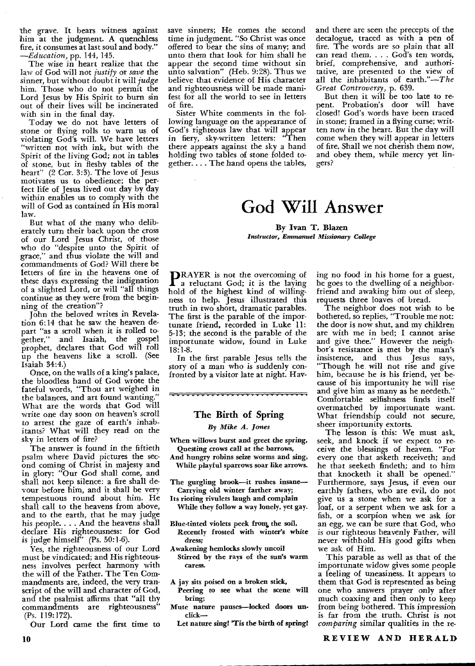the grave. It bears witness against him at the judgment. A quenchless fire, it consumes at last soul and body." *—Education,* pp. 144, 145.

The wise in heart realize that the law of God will not *justify* or *save* the sinner, but without doubt it will *judge*  him. Those who do not permit the Lord Jesus by His Spirit to burn sin out of their lives will be incinerated with sin in the final day.

Today we do not have letters of stone or flying rolls to warn us of violating God's will. We have letters "written not with ink, but with the Spirit of the living God; not in tables of stone, but in fleshy tables of the heart" (2 Cor. 3:3). The love of Jesus motivates us to obedience; the perfect life of Jesus lived out day by day within enables us to comply with the will of God as contained in His moral law.

But what of the many who deliberately turn their back upon the cross of our Lord Jesus Christ, of those who do "despite unto the Spirit of grace," and thus violate the will and commandments of God? Will there be letters of fire in the heavens one of these days expressing the indignation of a slighted Lord, or will "all things continue as they were from the beginning of the creation"?

John the beloved writes in Revelation 6:14 that he saw the heaven depart "as a scroll when it is rolled together," and Isaiah, the gospel prophet, declares that God will roll up the heavens like a scroll. (See Isaiah 34:4.)

Once, on the walls of a king's palace, the bloodless hand of God wrote the fateful words, "Thou art weighed in the balances, and art found wanting." What are the words that God will write one day soon on heaven's scroll to arrest the gaze of earth's inhabitants? What will they read on the sky in letters of fire?

The answer is found in the fiftieth psalm where David pictures the second coming of Christ in majesty and in glory; "Our God shall come, and shall not keep silence: a fire shall devour before him, and it shall be very tempestuous round about him. He shall call to the heavens from above, and to the earth, that he may judge his people. . . . And the heavens shall declare His righteousness: for God is judge himself" (Ps. 50:1-6).

Yes, the righteousness of our Lord must be vindicated; and His righteousness involves perfect harmony with the will of the Father. The Ten Commandments are, indeed, the very transcript of the will and character of God, and the psalmist affirms that "all thy commandments are righteousness" (Ps. 119:172).

Our Lord came the first time to

save sinners; He comes the second time in judgment. "So Christ was once offered to bear the sins of many; and unto them that look for him shall he appear the second time without sin unto salvation" (Heb. 9:28). Thus we believe that evidence of His character and righteousness will be made manifest for all the world to see in letters of fire.

Sister White comments in the following language on the appearance of God's righteous law that will appear in fiery, sky-written letters: "Then there appears against the sky a hand holding two tables of stone folded together. . The hand opens the tables,

and there are seen the precepts of the decalogue, traced as with a pen of fire. The words are so plain that all can read them. . . . God's ten words, brief, comprehensive, and authoritative, are presented to the view of all the inhabitants of earth."—The *Great Controversy,* p. 639.

But then it will be too late to repent. Probation's door will have closed! God's words have been traced in stone; framed in a flying curse; written now in the heart. But the day will come when they will appear in letters of fire. Shall we not cherish them now, and obey them, while mercy yet lingers?

# **God Will Answer**

**By Ivan T. Blazen**  *Instructor, Emmanuel Missionary College* 

**DRAYER** is not the overcoming of **1** a reluctant God; it is the laying hold of the highest kind of willingness to help. Jesus illustrated this truth in two short, dramatic parables. The first is the parable of the importunate friend, recorded in Luke 11: 5-13; the second is the parable of the importunate widow, found in Luke 18:1-8.

In the first parable Jesus tells the story of a man who is suddenly confronted by a visitor late at night. Hay-

### **The Birth of Spring**

<del>,,,,,,,,,,,,,,,,,,,,,,,,,,,,,,</del>,

*By Mike A. Jones* 

- When willows burst and greet the spring, Questing crows call at the barrows,
- And hungry robins seize worms and sing, While playful sparrows soar like arrows.
- The gurgling brook—it rushes insane— Carrying old winter farther away;
- Its rioting rivulets laugh and complain While they follow a way lonely, yet gay.
- Blue-tinted violets peek from the soil, Recently frosted with winter's white dress;
- Awakening hemlocks slowly uncoil Stirred by the rays of the sun's warm caress.
- A jay sits poised on a broken stick,
- Peering to see what the scene will<br>bring:
- bring; Mute nature pauses—locked doors **un**click—
	- Let nature sing! 'Tis the birth of spring!

ing no food in his home for a guest, he goes to the dwelling of a neighborfriend and awaking him out of sleep, requests three loaves of bread.

The neighbor does not wish to be bothered, so replies, "Trouble me not: the door is now shut, and my children are with me in bed; I cannot arise and give thee." However the neighbor's resistance is met by the man's insistence, and thus Jesus says, "Though he will not rise and give him, because he is his friend, yet because of his importunity he will rise and give him as many as he needeth.' Comfortable selfishness finds itself overmatched by importunate want. What friendship could not secure, sheer importunity extorts.

The lesson is this: We must ask, seek, and knock if we expect to receive the blessings of heaven. "For every one that asketh receiveth; and he that seeketh findeth; and to him that knocketh it shall be opened." Furthermore, says Jesus, if even our earthly fathers, who are evil, do not give us a stone when we ask for a loaf, or a serpent when we ask for a fish, or a scorpion when we ask for an egg, we can be sure that God, who is our righteous heavenly Father, will never withhold His good gifts when we ask of Him.

This parable as well as that of the importunate widow gives some people a feeling of uneasiness. It appears to them that God is represented as being one who answers prayer only after much coaxing and then only to keep from being bothered. This impression is far from the truth. Christ is not *comparing* similar qualities in the re